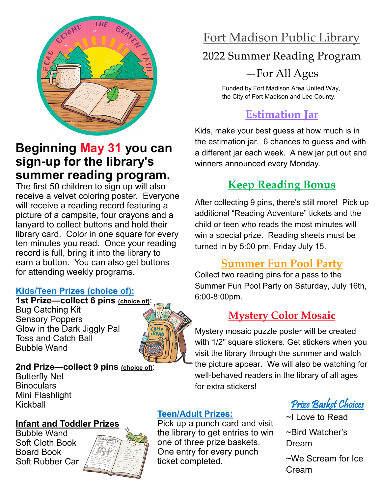

### **Beginning May 31 you can sign-up for the library's summer reading program.**

The first 50 children to sign up will also receive a velvet coloring poster. Everyone will receive a reading record featuring a picture of a campsite, four crayons and a lanyard to collect buttons and hold their library card. Color in one square for every ten minutes you read. Once your reading record is full, bring it into the library to earn a button. You can also get buttons for attending weekly programs.

#### **Kids/Teen Prizes (choice of):**

**1st Prize—collect 6 pins (choice of)**: Bug Catching Kit Sensory Poppers Glow in the Dark Jiggly Pal Toss and Catch Ball Bubble Wand



**2nd Prize—collect 9 pins (choice of)**: Butterfly Net **Binoculars** Mini Flashlight Kickball

#### **Infant and Toddler Prizes**

Bubble Wand Soft Cloth Book Board Book Soft Rubber Car



## Fort Madison Public Library

### 2022 Summer Reading Program

### —For All Ages

Funded by Fort Madison Area United Way, the City of Fort Madison and Lee County.

## **Estimation Jar**

Kids, make your best guess at how much is in the estimation jar. 6 chances to guess and with a different jar each week. A new jar put out and winners announced every Monday.

## **Keep Reading Bonus**

After collecting 9 pins, there's still more! Pick up additional "Reading Adventure" tickets and the child or teen who reads the most minutes will win a special prize. Reading sheets must be turned in by 5:00 pm, Friday July 15.

### **Summer Fun Pool Party**

Collect two reading pins for a pass to the Summer Fun Pool Party on Saturday, July 16th, 6:00-8:00pm.

### **Mystery Color Mosaic**

Mystery mosaic puzzle poster will be created with 1/2" square stickers. Get stickers when you visit the library through the summer and watch the picture appear. We will also be watching for well-behaved readers in the library of all ages for extra stickers!

### Prize Basket Choices

- ~I Love to Read
- ~Bird Watcher's Dream

~We Scream for Ice Cream

### **Teen/Adult Prizes:**

Pick up a punch card and visit the library to get entries to win one of three prize baskets. One entry for every punch ticket completed.